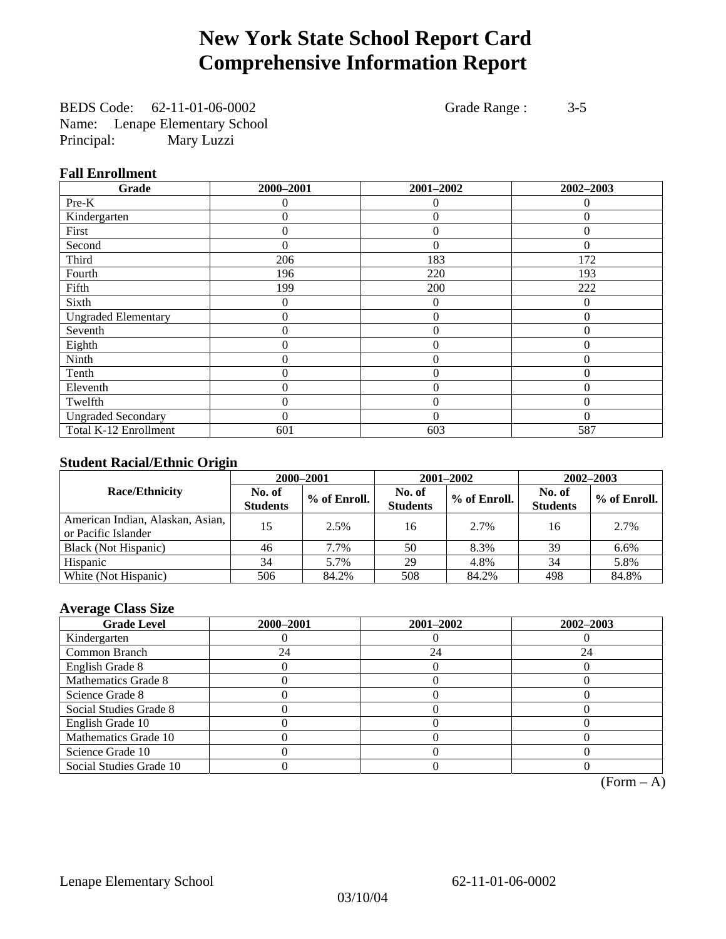# **New York State School Report Card Comprehensive Information Report**

BEDS Code: 62-11-01-06-0002 Grade Range : 3-5 Name: Lenape Elementary School Principal: Mary Luzzi

### **Fall Enrollment**

| Grade                      | 2000-2001 | 2001-2002      | 2002-2003    |
|----------------------------|-----------|----------------|--------------|
| Pre-K                      | $\Omega$  | $\Omega$       | $\Omega$     |
| Kindergarten               | 0         | $\theta$       | $\Omega$     |
| First                      | 0         | $\theta$       | 0            |
| Second                     | 0         | $\theta$       | $\Omega$     |
| Third                      | 206       | 183            | 172          |
| Fourth                     | 196       | 220            | 193          |
| Fifth                      | 199       | 200            | 222          |
| Sixth                      | 0         | $\overline{0}$ | $\theta$     |
| <b>Ungraded Elementary</b> | 0         | $\theta$       | $\Omega$     |
| Seventh                    | 0         | $\overline{0}$ | 0            |
| Eighth                     | 0         | $\theta$       | $\theta$     |
| Ninth                      | 0         | $\theta$       | $\theta$     |
| Tenth                      | 0         | $\overline{0}$ | 0            |
| Eleventh                   | 0         | $\overline{0}$ | 0            |
| Twelfth                    | 0         | $\overline{0}$ | $\mathbf{0}$ |
| <b>Ungraded Secondary</b>  | $\theta$  | $\theta$       | $\theta$     |
| Total K-12 Enrollment      | 601       | 603            | 587          |

## **Student Racial/Ethnic Origin**

|                                                         | 2000-2001                 |              |                           | 2001-2002    | $2002 - 2003$             |                |
|---------------------------------------------------------|---------------------------|--------------|---------------------------|--------------|---------------------------|----------------|
| <b>Race/Ethnicity</b>                                   | No. of<br><b>Students</b> | % of Enroll. | No. of<br><b>Students</b> | % of Enroll. | No. of<br><b>Students</b> | $%$ of Enroll. |
| American Indian, Alaskan, Asian,<br>or Pacific Islander | 15                        | 2.5%         | 16                        | 2.7%         | 16                        | 2.7%           |
| Black (Not Hispanic)                                    | 46                        | 7.7%         | 50                        | 8.3%         | 39                        | 6.6%           |
| Hispanic                                                | 34                        | 5.7%         | 29                        | 4.8%         | 34                        | 5.8%           |
| White (Not Hispanic)                                    | 506                       | 84.2%        | 508                       | 84.2%        | 498                       | 84.8%          |

## **Average Class Size**

| <b>Grade Level</b>      | 2000-2001 | 2001-2002 | 2002-2003 |
|-------------------------|-----------|-----------|-----------|
| Kindergarten            |           |           |           |
| Common Branch           | 24        | 24        | 24        |
| English Grade 8         |           |           |           |
| Mathematics Grade 8     |           |           |           |
| Science Grade 8         |           |           |           |
| Social Studies Grade 8  |           |           |           |
| English Grade 10        |           |           |           |
| Mathematics Grade 10    |           |           |           |
| Science Grade 10        |           |           |           |
| Social Studies Grade 10 |           |           |           |

 $(Form - A)$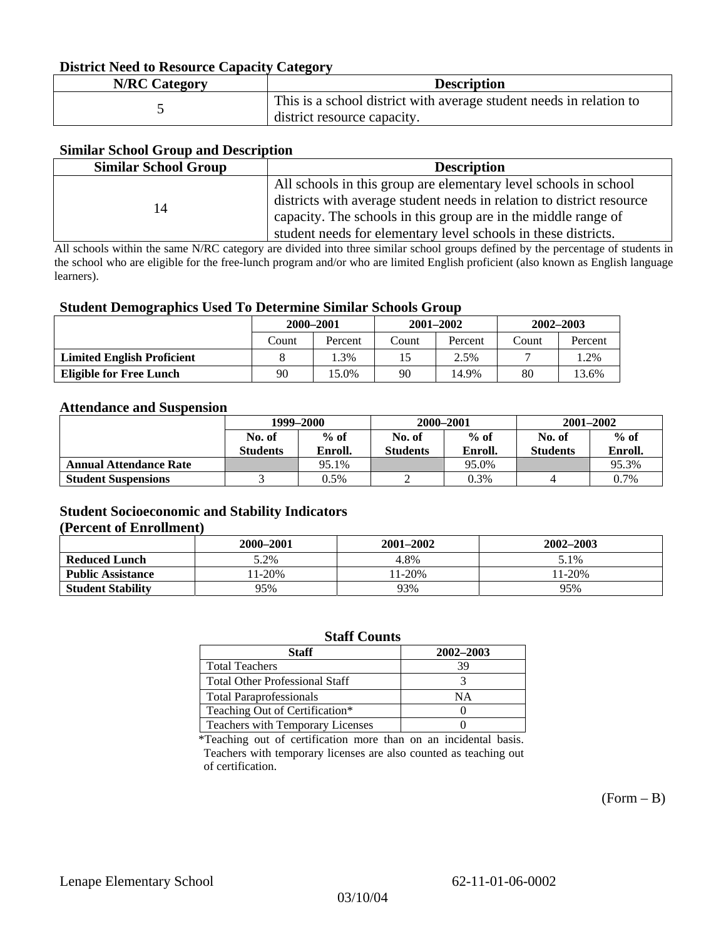### **District Need to Resource Capacity Category**

| <b>N/RC Category</b> | <b>Description</b>                                                                                 |
|----------------------|----------------------------------------------------------------------------------------------------|
|                      | This is a school district with average student needs in relation to<br>district resource capacity. |

### **Similar School Group and Description**

| <b>Similar School Group</b> | <b>Description</b>                                                    |
|-----------------------------|-----------------------------------------------------------------------|
|                             | All schools in this group are elementary level schools in school      |
| 14                          | districts with average student needs in relation to district resource |
|                             | capacity. The schools in this group are in the middle range of        |
|                             | student needs for elementary level schools in these districts.        |

All schools within the same N/RC category are divided into three similar school groups defined by the percentage of students in the school who are eligible for the free-lunch program and/or who are limited English proficient (also known as English language learners).

### **Student Demographics Used To Determine Similar Schools Group**

|                                   | 2000-2001 |         | $2001 - 2002$ |         | $2002 - 2003$ |         |
|-----------------------------------|-----------|---------|---------------|---------|---------------|---------|
|                                   | Count     | Percent | Count         | Percent | Count         | Percent |
| <b>Limited English Proficient</b> |           | 1.3%    |               | 2.5%    |               | 1.2%    |
| Eligible for Free Lunch           | 90        | 15.0%   | 90            | 14.9%   | 80            | 13.6%   |

#### **Attendance and Suspension**

|                               | 1999–2000<br>$%$ of<br>No. of |         | 2000-2001        |         | $2001 - 2002$   |         |
|-------------------------------|-------------------------------|---------|------------------|---------|-----------------|---------|
|                               |                               |         | $%$ of<br>No. of |         | No. of          | $%$ of  |
|                               | <b>Students</b>               | Enroll. | <b>Students</b>  | Enroll. | <b>Students</b> | Enroll. |
| <b>Annual Attendance Rate</b> |                               | 95.1%   |                  | 95.0%   |                 | 95.3%   |
| <b>Student Suspensions</b>    |                               | 0.5%    |                  | 0.3%    |                 | 0.7%    |

### **Student Socioeconomic and Stability Indicators (Percent of Enrollment)**

|                          | 2000-2001 | $2001 - 2002$ | 2002-2003 |
|--------------------------|-----------|---------------|-----------|
| <b>Reduced Lunch</b>     | 5.2%      | 4.8%          | 5.1%      |
| <b>Public Assistance</b> | $1-20%$   | $1-20%$       | 11-20%    |
| <b>Student Stability</b> | 95%       | 93%           | 95%       |

### **Staff Counts**

| Staff                                 | 2002-2003 |
|---------------------------------------|-----------|
| <b>Total Teachers</b>                 | 39        |
| <b>Total Other Professional Staff</b> |           |
| <b>Total Paraprofessionals</b>        | ΝA        |
| Teaching Out of Certification*        |           |
| Teachers with Temporary Licenses      |           |

\*Teaching out of certification more than on an incidental basis. Teachers with temporary licenses are also counted as teaching out of certification.

 $(Form - B)$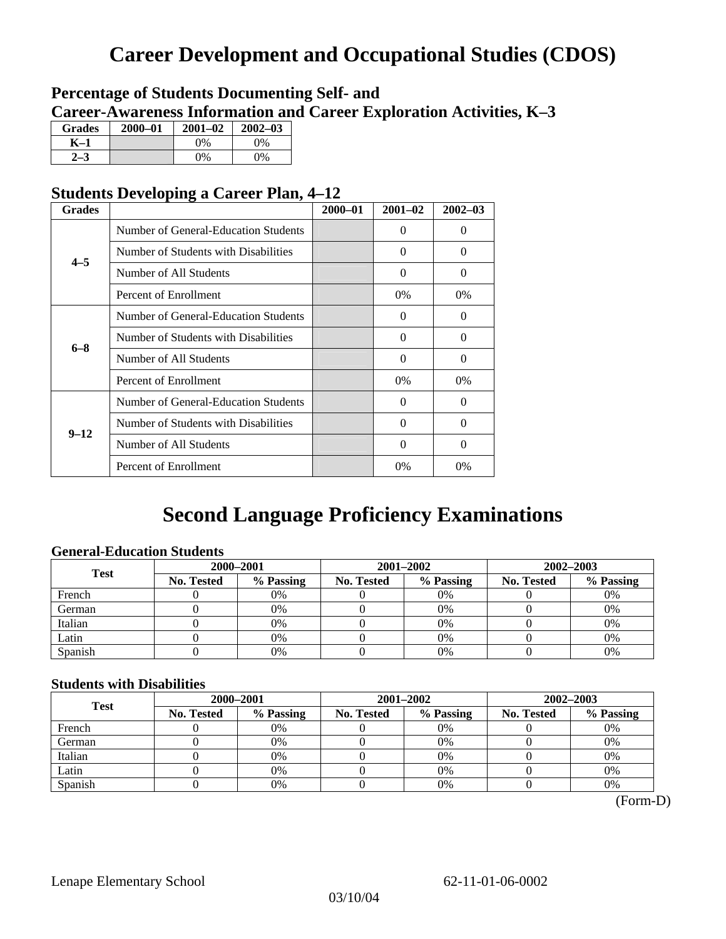## **Career Development and Occupational Studies (CDOS)**

## **Percentage of Students Documenting Self- and Career-Awareness Information and Career Exploration Activities, K–3**

| <b>Grades</b> | $2000 - 01$ | $2001 - 02$ | $2002 - 03$ |
|---------------|-------------|-------------|-------------|
| K-1           |             | 0%          | $0\%$       |
| 72            |             | $0\%$       | $0\%$       |

## **Students Developing a Career Plan, 4–12**

| <b>Grades</b> |                                      | $2000 - 01$ | $2001 - 02$ | $2002 - 03$ |
|---------------|--------------------------------------|-------------|-------------|-------------|
|               | Number of General-Education Students |             | $\Omega$    | 0           |
| $4 - 5$       | Number of Students with Disabilities |             | 0           | 0           |
|               | Number of All Students               |             | $\Omega$    | $\Omega$    |
|               | Percent of Enrollment                |             | 0%          | $0\%$       |
|               | Number of General-Education Students |             | $\Omega$    | 0           |
| $6 - 8$       | Number of Students with Disabilities |             | $\Omega$    | $\Omega$    |
|               | Number of All Students               |             | $\Omega$    | $\Omega$    |
|               | Percent of Enrollment                |             | 0%          | 0%          |
|               | Number of General-Education Students |             | 0           | 0           |
| $9 - 12$      | Number of Students with Disabilities |             | $\Omega$    | $\Omega$    |
|               | Number of All Students               |             | $\Omega$    | $\Omega$    |
|               | Percent of Enrollment                |             | 0%          | 0%          |

## **Second Language Proficiency Examinations**

## **General-Education Students**

| <b>Test</b> | 2000-2001         |           |            | 2001-2002 | $2002 - 2003$ |           |
|-------------|-------------------|-----------|------------|-----------|---------------|-----------|
|             | <b>No. Tested</b> | % Passing | No. Tested | % Passing | No. Tested    | % Passing |
| French      |                   | 0%        |            | $0\%$     |               | 0%        |
| German      |                   | 0%        |            | $0\%$     |               | 0%        |
| Italian     |                   | 0%        |            | 0%        |               | 0%        |
| Latin       |                   | 0%        |            | 0%        |               | 0%        |
| Spanish     |                   | 0%        |            | 0%        |               | 0%        |

### **Students with Disabilities**

| <b>Test</b> |                   | 2000-2001 |            | 2001-2002 | 2002-2003  |           |  |
|-------------|-------------------|-----------|------------|-----------|------------|-----------|--|
|             | <b>No. Tested</b> | % Passing | No. Tested | % Passing | No. Tested | % Passing |  |
| French      |                   | 0%        |            | 0%        |            | 0%        |  |
| German      |                   | 0%        |            | 0%        |            | 0%        |  |
| Italian     |                   | 0%        |            | 0%        |            | 0%        |  |
| Latin       |                   | 0%        |            | 0%        |            | 0%        |  |
| Spanish     |                   | 0%        |            | 0%        |            | 0%        |  |

(Form-D)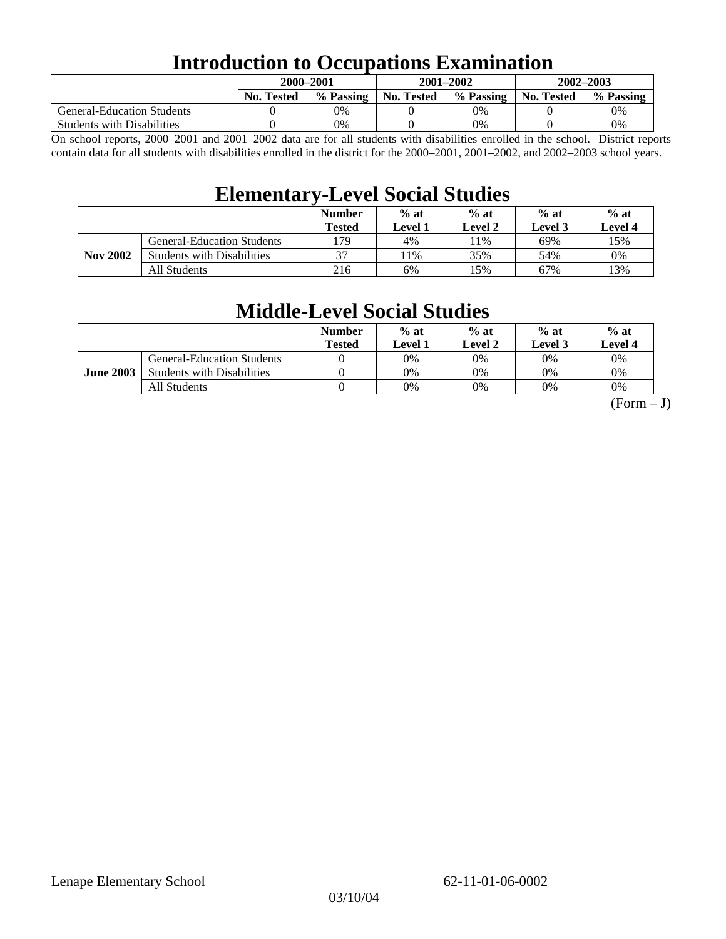## **Introduction to Occupations Examination**

|                                   | 2000-2001         |           | 2001-2002         |           | 2002-2003         |           |  |
|-----------------------------------|-------------------|-----------|-------------------|-----------|-------------------|-----------|--|
|                                   | <b>No. Tested</b> | % Passing | <b>No. Tested</b> | % Passing | <b>No. Tested</b> | % Passing |  |
| <b>General-Education Students</b> |                   | $0\%$     |                   | 0%        |                   | 0%        |  |
| <b>Students with Disabilities</b> |                   | $0\%$     |                   | 0%        |                   | 0%        |  |

On school reports, 2000–2001 and 2001–2002 data are for all students with disabilities enrolled in the school. District reports contain data for all students with disabilities enrolled in the district for the 2000–2001, 2001–2002, and 2002–2003 school years.

## **Elementary-Level Social Studies**

|                 |                                   | <b>Number</b><br><b>Tested</b> | $%$ at<br>Level 1 | $%$ at<br><b>Level 2</b> | $%$ at<br><b>Level</b> 3 | $%$ at<br>Level 4 |
|-----------------|-----------------------------------|--------------------------------|-------------------|--------------------------|--------------------------|-------------------|
| <b>Nov 2002</b> | <b>General-Education Students</b> | l 79                           | 4%                | .1%                      | 69%                      | 15%               |
|                 | <b>Students with Disabilities</b> | 37                             | 1%                | 35%                      | 54%                      | 0%                |
|                 | All Students                      | 216                            | 6%                | 15%                      | 67%                      | 13%               |

## **Middle-Level Social Studies**

|                  |                                   | <b>Number</b><br>Tested | $%$ at<br>evel 1. | $%$ at<br>Level 2 | $%$ at<br>Level 3 | $%$ at<br>Level 4 |
|------------------|-----------------------------------|-------------------------|-------------------|-------------------|-------------------|-------------------|
| <b>June 2003</b> | <b>General-Education Students</b> |                         | 0%                | 0%                | $0\%$             | 0%                |
|                  | <b>Students with Disabilities</b> |                         | 0%                | 0%                | 0%                | 0%                |
|                  | All Students                      |                         | 0%                | 0%                | 0%                | 0%                |

 $(Form - J)$